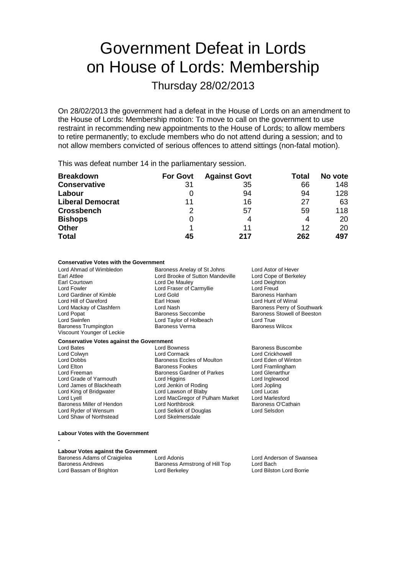# Government Defeat in Lords on House of Lords: Membership

Thursday 28/02/2013

On 28/02/2013 the government had a defeat in the House of Lords on an amendment to the House of Lords: Membership motion: To move to call on the government to use restraint in recommending new appointments to the House of Lords; to allow members to retire permanently; to exclude members who do not attend during a session; and to not allow members convicted of serious offences to attend sittings (non-fatal motion).

This was defeat number 14 in the parliamentary session.

| <b>Breakdown</b>        | <b>For Govt</b> | <b>Against Govt</b> | Total | No vote |
|-------------------------|-----------------|---------------------|-------|---------|
| <b>Conservative</b>     | 31              | 35                  | 66    | 148     |
| Labour                  | O               | 94                  | 94    | 128     |
| <b>Liberal Democrat</b> | 11              | 16                  | 27    | 63      |
| <b>Crossbench</b>       | 2               | 57                  | 59    | 118     |
| <b>Bishops</b>          | 0               |                     | 4     | 20      |
| <b>Other</b>            |                 | 11                  | 12    | 20      |
| <b>Total</b>            | 45              | 217                 | 262   | 497     |

### **Conservative Votes with the Government**

**Conservative Votes against the Government**<br>Lord Bates Lord Bo

Lord Shaw of Northstead Lord Skelmersdale

Lord Hill of Oareford Earl Howe Lord Hunt of Wirral Baroness Trumpington Viscount Younger of Leckie

Lord Ahmad of Wimbledon **Baroness Anelay of St Johns** Lord Astor of Hever<br>Earl Attlee Lord Booke of Sutton Mandeville Lord Cope of Berkeley Earl Attlee Lord Brooke of Sutton Mandeville<br>
Earl Courtown<br>
Lord De Maulev Earl Courtown Lord De Mauley Lord Deighton Lord Fraser of Carmyllie **Lord Freud<br>
Lord Gold Baroness Hanham** Lord Gardiner of Kimble **Lord Gold Collect Collect Collect Collect Collect Collect Collect Collect Collect Collect Collect Collect Collect Collect Collect Collect Collect Collect Collect Lord Hunt of Wirral Lord Hunt of Wi** Lord Popat **Baroness Seccombe** Baroness Seccombe Baroness Stowell of Beeston<br>
Baroness Stowell of Beeston<br>
Lord True<br>
Lord True Lord Taylor of Holbeach Lord True<br>
Baroness Verma<br>
Baroness Verma

Baroness Eccles of Moulton

Baroness Perry of Southwark

Lord Bates **Lord Bowness** Baroness Buscombe<br>
Lord Colwyn **Baroness** Lord Cormack Lord Corner Lord Crickhowell Lord Colwyn Lord Cormack Lord Crickhowell Lord Elton **Baroness Fookes** Lord Elton Baroness Fookes Lord Framlingham<br>
Baroness Gardner of Parkes Lord Glenarthur Lord Freeman **Baroness Gardner of Parkes** Lord Glenarthur<br>
Lord Grade of Yarmouth Lord Higgins Lord Cord Inglewood Lord Grade of Yarmouth Lord Higgins Lord Inglewood Lord Inglewood Lord James of Blackheath Lord Jenkin of Roding Lord Jopling Lord James of Blackheath Lord Jenkin of Roding Lord Jopling Lord King of Bridgwater Lord Lawson of Blaby Lord Lucas<br>
Lord Lyell Lord MacGregor of Pulham Market Lord Marlesford Lord MacGregor of Pulham Market Lord Marlesford<br>Lord Northbrook Baroness O'Cathain Baroness Miller of Hendon Lord Northbrook **Baroness O'C**<br>
Lord Ryder of Wensum Lord Selkirk of Douglas Lord Selsdon

#### **Labour Votes with the Government**

**-**

### **Labour Votes against the Government**

| Baroness Adams of Craigielea | Lord Adonis                    | Lord Anderson of Swansea |
|------------------------------|--------------------------------|--------------------------|
| <b>Baroness Andrews</b>      | Baroness Armstrong of Hill Top | Lord Bach                |
| Lord Bassam of Brighton      | Lord Berkeley                  | Lord Bilston Lord Borrie |

Lord Selkirk of Douglas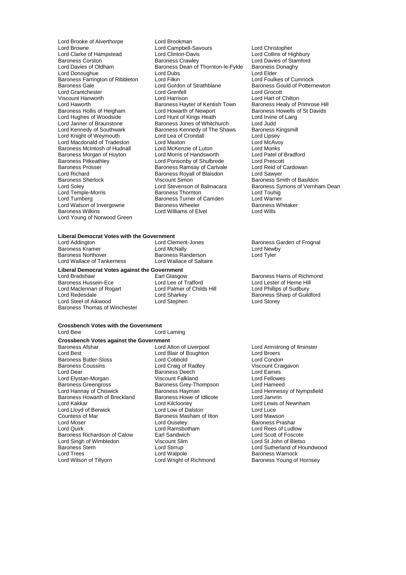Lord Brooke of Alverthorpe Lord Brookman<br>
Lord Browne Cord Campbell-Lord Clarke of Hampstead Lord Clinton-Davis<br>Baroness Corston Baroness Crawley Baroness Farrington of Ribbleton Lord Filkin<br>Baroness Gale **Lord Gordon of Strathblane** Lord Grantchester Lord Grenfell<br>
Viscount Hanworth Lord Harrison Lord Richard **Baroness Royall of Blaisdon**<br>Baroness Sherlock **Baroness Sherlock** Viscount Simon Lord Young of Norwood Green

Lord Campbell-Savours<br>
Lord Clinton-Davis **Lord Colling Colling Colling Colling** Lord Collins of Highbury Baroness Corston **Baroness Crawley** Baroness Crawley Lord Davies of Stamford Lord Davies of Oldham Baroness Dean of Thornton-le-Fylde Baroness Donaghy Exames Dean of Thornton-le-Fylde<br>Lord Dubs Lord Dubs Lord Baroness I Lord Donoughue Lord Dubs<br>
Lord Donoughue Lord Elder Lord Elder Lord Elder Lord Elder Lord Engineers Cumnock<br>
Lord Foulkes of Cumnock Lord Gordon of Strathblane Baroness Gould of Potternewton<br>
Lord Greenfell<br>
Lord Grocott Viscount Hanworth **Lord Harrison** Lord Harrison **Lord Hart of Chilton**<br>Lord Haworth **Lord Hart of Chilton** Baroness Hart Bart Baroness Healy of F Lord Haworth **Baroness Hayter of Kentish Town**<br>Baroness Healy of Primrose Hill<br>Baroness Howells of St Davids Baroness Hollis of Heigham Lord Howarth of Newport Baroness Howells of St Davids<br>Lord Hughes of Woodside Lord Hunt of Kings Heath Lord Irvine of Lairg Lord Hughes of Woodside Lord Hunt of Kings Heath Lord Irvine<br>
Lord Janner of Braunstone Baroness Jones of Whitchurch Lord Judd Lord Janner of Braunstone **Baroness Jones of Whitchurch** Lord Judd<br>
Lord Kennedy of Southwark **Baroness Kennedy of The Shaws** Baroness Kingsmill Baroness Kennedy of The Shaws Baroness Kingsmill Baroness Kingsmille Baroness Kingsmille Baroness Ki Lord Knight of Weymouth Lord Lord Lea of Crondall Cord Lipsey<br>
Lord Macdonald of Tradeston Lord Maxton Lord Maxton Lord McAvoy Lord Macdonald of Tradeston Lord Maxton Lord McAvo<br>
Baroness McIntosh of Hudnall Lord McKenzie of Luton Lord Monks Baroness McIntosh of Hudnall Lord McKenzie of Luton Lord Monks<br>
Baroness Morgan of Huyton Lord Morris of Handsworth Lord Patel of Bradford Baroness Morgan of Huyton Lord Morris of Handsworth Lord Patel of I<br>
Lord Ponsonby of Shulbrede Lord Prescott<br>
Lord Prescott Baroness Pitkeathley **Lord Ponsonby of Shulbrede** Lord Prescott<br>
Baroness Prosser **Baroness Ramsav of Cartvale** Lord Reid of Cardowan Baroness Prosser **Baroness Ramsay of Cartvale** Lord Reid of Lord Reid of Cartvale Cord Reid of Baroness Royall of Blaisdon Baroness Sherlock **Viscount Simon**<br>
Lord Soley **Baroness Smith of Basildon**<br>
Lord Soley **Baroness Symons** of Vernhand Lord Stevenson of Balmacara Lord Stevenson of Balmacara Baroness Symons of Vernham Dean<br>Baroness Thornton Baroness Symonig Lord Temple-Morris Baroness Thornton Lord Touhig **Examples Furner of Camden** Lord Warner<br>
Baroness Turner of Camden Lord Warner<br>
Baroness Wheeler Baroness Whitaker Lord Watson of Invergowrie **Baroness Wheeler** Baroness<br>
Baroness Wilkins **Baroness** Lord Williams of Elvel **Baroness** Lord Wills Lord Williams of Elvel

### **Liberal Democrat Votes with the Government**

Baroness Kramer **Example 2** Lord McNally Lord McNally Lord Newb<br>Baroness Northover **Contains Baroness Randerson** Lord Tyler Lord Wallace of Tankerness

**Liberal Democrat Votes against the Government**

Baroness Hussein-Ece Lord Lee of Trafford Lord Lester of Herne Hil<br>
Lord Maclennan of Rogart Lord Palmer of Childs Hill Lord Phillips of Sudbury Lord Maclennan of Rogart Lord Palmer of Childs Hill<br>Lord Redesdale Lord Sharkey Lord Steel of Aikwood Baroness Thomas of Winchester

Baroness Randerson<br>Lord Wallace of Saltaire

#### **Crossbench Votes with the Government** Lord Laming

### **Crossbench Votes against the Government**

Baroness Afshar **Lord Alton of Liverpool** Lord Armstrong of Ilminster<br>
Lord Best Lord Blair of Boughton **Lord Broes** Baroness Butler-Sloss Lord Cobbold Lord Condon Baroness Coussins **Collect Craig of Radley** Craigavon Craigavon Craigavon Craigavon Craigavon Craigavon Craigavo<br>Cord Cames Deech Lord Eames Lord Elystan-Morgan Viscount Falkland Lord Fellowes Baroness Greengross<br> **Baroness Greengross**<br>
Baroness Hayman<br>
Baroness Hayman Baroness Howarth of Breckland Baroness Howe<br>
I ord Kakkar Cord Cord Kilclooney Lord Lloyd of Berwick Lord Low of Dalston Lord Luce Countess of Mar **Baroness Masham of Ilton Lord Moser**<br>
Lord Moser **Lord Ouseley** Lord Moser **Lord Ouseley Community** Baroness Prashar<br>
Lord Quirk **Baroness Prashar**<br>
Lord Quirk **Baroness Prashary Lord Ramsbotham** Baroness Richardson of Calow Earl Sandwich **Earl Scott Calow** Earl Sandwich Lord Scott of Foscote<br>
Lord Singh of Wimbledon **Earl Scott Scott Scott Calon** Cord St John of Bletso Lord Singh of Wimbledon Viscount Slim Viscount Strangender<br>
Baroness Stern **Digenomia Contains** Baroness Stern Lord Stirrup Lord Sutherland of Houndwood Lord Trees **Communist Communist Lord Walpole**<br>
Lord Wight of Richmond Baroness Young of<br>
Lord Wright of Richmond Baroness Young of

Lord Blair of Boughton **Lord Broers**<br>
Lord Cobbold **Lord Condon** Baroness Deech in the Lord Eames Theorem Lord Eames Theorem Lord Eames Theorem Lord Fellowes Lord Kilclooney **Lord Lewis of Newnham**<br>
Lord Lord Lord Lord Luce Lord Ramsbotham **Lord Rees of Ludlow**<br> **Lord Scott of Foscote**<br>
Lord Scott of Foscote

Lord Clement-Jones<br>
Lord McNally<br>
Lord Newby

Earl Glasgow **Baroness Harris of Richmond Lord Lee of Trafford Corpus** Baroness Harris of Richmond Lord Lester of Herne Hill Lord Sharkey **Baroness Sharp of Guildford**<br>
Lord Stephen **Baroness Sharp of Guildford** 

Baroness Hayman **Exercise Baroness Hayman** Lord Hennessy of Nympsfield<br>
Baroness Howe of Idlicote **Lord Janyrin** Baroness Young of Hornsey